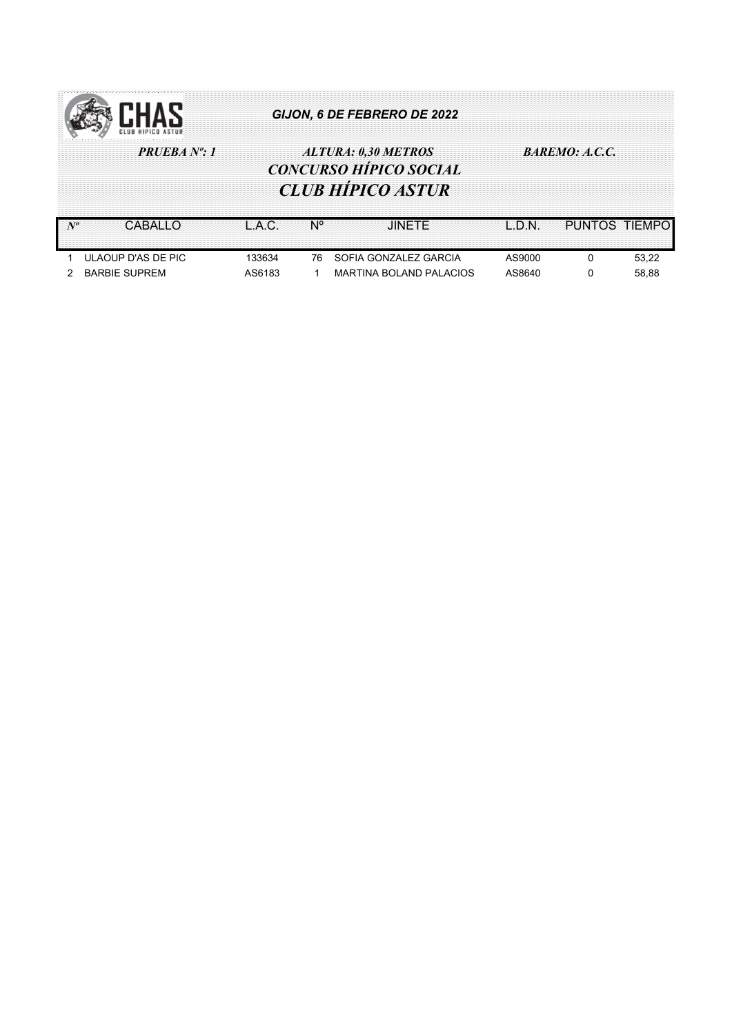

## PRUEBA Nº: 1  $ALTURA: 0,30 METROS$  BAREMO: A.C.C. CONCURSO HÍPICO SOCIAL CLUB HÍPICO ASTUR

Nº CABALLO L.A.C. Nº JINETE L.D.N. PUNTOS TIEMPO 1 ULAOUP D'AS DE PIC 133634 76 SOFIA GONZALEZ GARCIA AS9000 0 53,22 2 BARBIE SUPREM AS6183 1 MARTINA BOLAND PALACIOS AS8640 0 58,88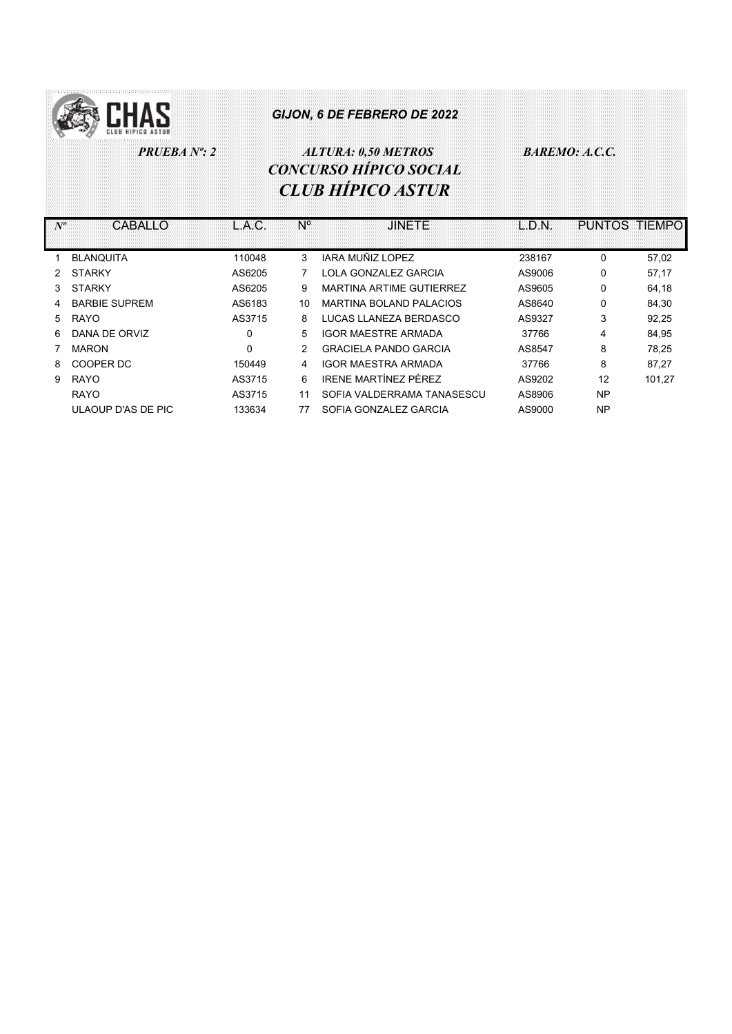

# PRUEBA Nº: 2  $ALTURA: 0,50 METROS$  BAREMO: A.C.C. CONCURSO HÍPICO SOCIAL CLUB HÍPICO ASTUR

| $N^o$ | CABALLO              | L.A.C. | N°            | <b>JINETE</b>                  | L.D.N. | PUNTOS TIEMPO |        |
|-------|----------------------|--------|---------------|--------------------------------|--------|---------------|--------|
|       |                      |        |               |                                |        |               |        |
|       | <b>BLANQUITA</b>     | 110048 | 3             | IARA MUÑIZ LOPEZ               | 238167 | 0             | 57,02  |
| 2     | <b>STARKY</b>        | AS6205 |               | LOLA GONZALEZ GARCIA           | AS9006 | 0             | 57,17  |
| 3     | <b>STARKY</b>        | AS6205 | 9             | MARTINA ARTIME GUTIERREZ       | AS9605 | 0             | 64,18  |
| 4     | <b>BARBIE SUPREM</b> | AS6183 | 10            | <b>MARTINA BOLAND PALACIOS</b> | AS8640 | 0             | 84.30  |
| 5     | <b>RAYO</b>          | AS3715 | 8             | LUCAS LLANEZA BERDASCO         | AS9327 | 3             | 92,25  |
| 6.    | DANA DE ORVIZ        | 0      | 5             | <b>IGOR MAESTRE ARMADA</b>     | 37766  | 4             | 84,95  |
|       | <b>MARON</b>         | 0      | $\mathcal{P}$ | <b>GRACIELA PANDO GARCIA</b>   | AS8547 | 8             | 78,25  |
| 8     | COOPER DC            | 150449 | 4             | <b>IGOR MAESTRA ARMADA</b>     | 37766  | 8             | 87,27  |
| 9     | <b>RAYO</b>          | AS3715 | 6             | IRENE MARTÍNEZ PÉREZ           | AS9202 | 12            | 101,27 |
|       | <b>RAYO</b>          | AS3715 | 11            | SOFIA VALDERRAMA TANASESCU     | AS8906 | <b>NP</b>     |        |
|       | ULAOUP D'AS DE PIC   | 133634 | 77            | SOFIA GONZALEZ GARCIA          | AS9000 | <b>NP</b>     |        |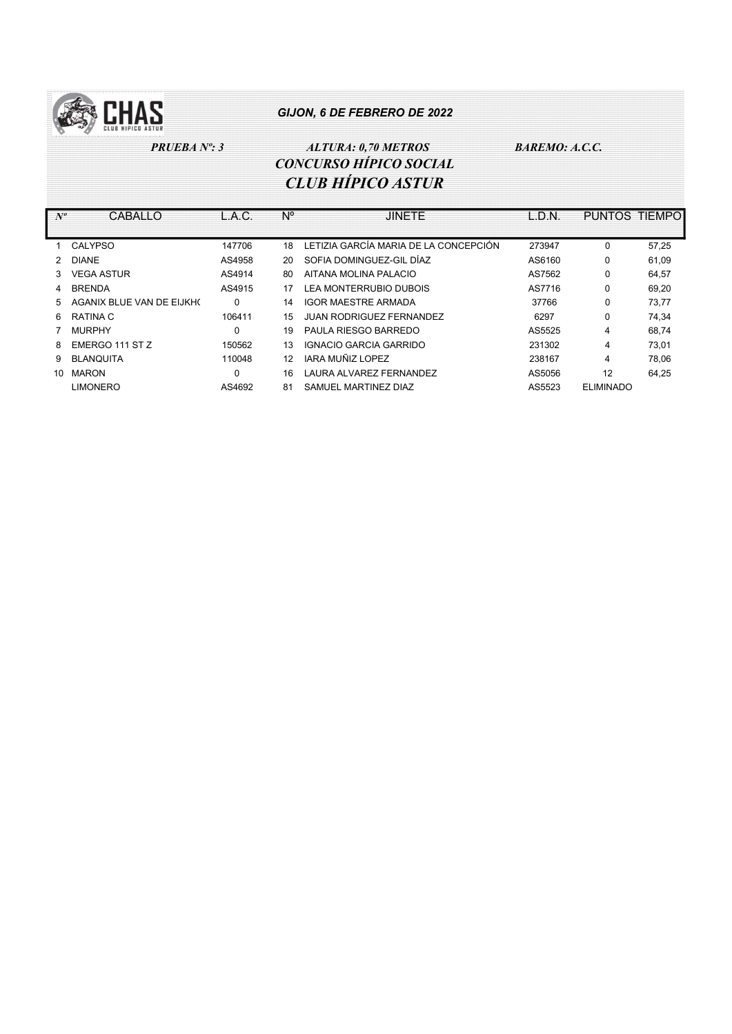

 PRUEBA Nº: 3 ALTURA: 0,70 METROS BAREMO: A.C.C. CONCURSO HÍPICO SOCIAL CLUB HÍPICO ASTUR

| $N^o$ | CABALLO                   | L.A.C.   | $N^{\circ}$ | <b>JINETE</b>                         | L.D.N. | <b>PUNTOS TIEMPO</b> |       |
|-------|---------------------------|----------|-------------|---------------------------------------|--------|----------------------|-------|
|       |                           |          |             |                                       |        |                      |       |
|       | CALYPSO                   | 147706   | 18          | LETIZIA GARCÍA MARIA DE LA CONCEPCIÓN | 273947 | $\Omega$             | 57,25 |
| 2     | <b>DIANE</b>              | AS4958   | 20          | SOFIA DOMINGUEZ-GIL DÍAZ              | AS6160 | 0                    | 61,09 |
| 3     | <b>VEGA ASTUR</b>         | AS4914   | 80          | AITANA MOLINA PALACIO                 | AS7562 | 0                    | 64,57 |
| 4     | <b>BRENDA</b>             | AS4915   | 17          | LEA MONTERRUBIO DUBOIS                | AS7716 | 0                    | 69.20 |
| 5.    | AGANIX BLUE VAN DE EIJKHO | $\Omega$ | 14          | <b>IGOR MAESTRE ARMADA</b>            | 37766  | 0                    | 73.77 |
| 6     | RATINA C                  | 106411   | 15          | <b>JUAN RODRIGUEZ FERNANDEZ</b>       | 6297   | 0                    | 74,34 |
|       | <b>MURPHY</b>             | 0        | 19          | PAULA RIESGO BARREDO                  | AS5525 | 4                    | 68.74 |
| 8     | EMERGO 111 ST Z           | 150562   | 13          | IGNACIO GARCIA GARRIDO                | 231302 | 4                    | 73.01 |
| 9.    | <b>BLANQUITA</b>          | 110048   | 12          | IARA MUÑIZ LOPEZ                      | 238167 | 4                    | 78.06 |
| 10    | <b>MARON</b>              | $\Omega$ | 16          | LAURA ALVAREZ FERNANDEZ               | AS5056 | 12                   | 64,25 |
|       | <b>LIMONERO</b>           | AS4692   | 81          | SAMUEL MARTINEZ DIAZ                  | AS5523 | <b>ELIMINADO</b>     |       |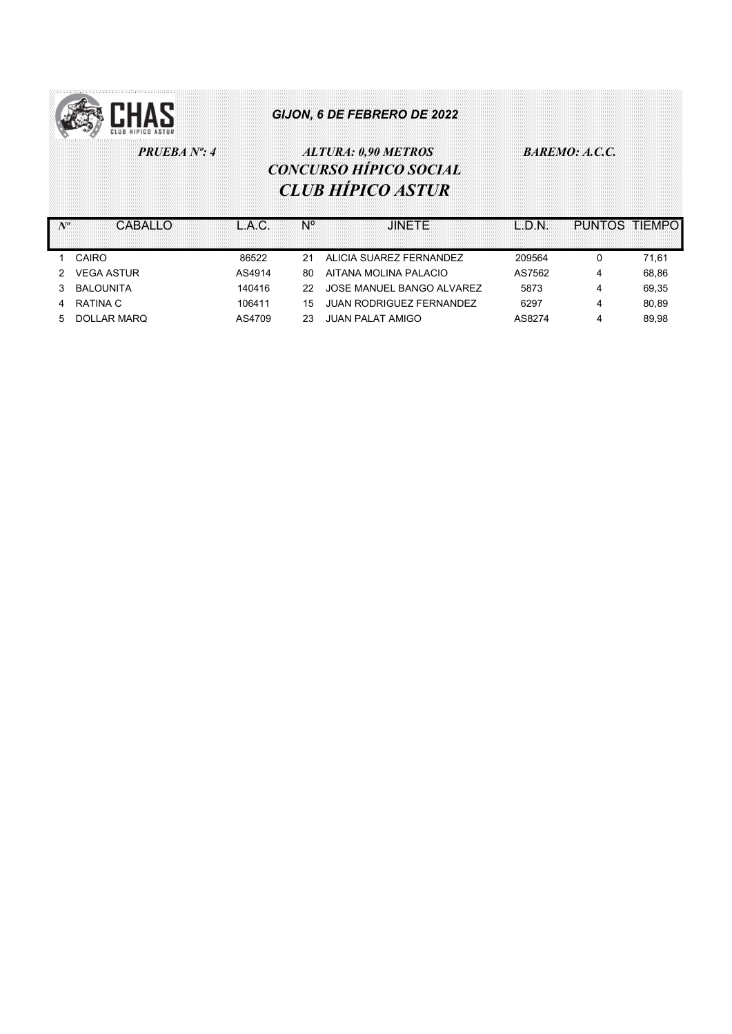

# PRUEBA Nº: 4  $ALTURA: 0,90 METROS$  BAREMO: A.C.C. CONCURSO HÍPICO SOCIAL CLUB HÍPICO ASTUR

|                     | CARALLO           |        |     | .IINFTF                         | I D.N. | PUNTOS TIEMPO |       |
|---------------------|-------------------|--------|-----|---------------------------------|--------|---------------|-------|
|                     | CAIRO             | 86522  |     | ALICIA SUAREZ FERNANDEZ         | 209564 |               | 71.61 |
| $\mathcal{P} \quad$ | <b>VEGA ASTUR</b> | AS4914 | 80  | AITANA MOLINA PALACIO           | AS7562 | 4             | 68.86 |
|                     | BALOUNITA         | 140416 | 22. | JOSE MANUEL BANGO ALVAREZ       | 5873   |               | 69.35 |
|                     | RATINA C          | 106411 | 15  | <b>JUAN RODRIGUEZ FERNANDEZ</b> | 6297   |               | 80.89 |
| 5.                  | DOLLAR MARQ       | AS4709 | 23  | <b>JUAN PALAT AMIGO</b>         | AS8274 |               | 89.98 |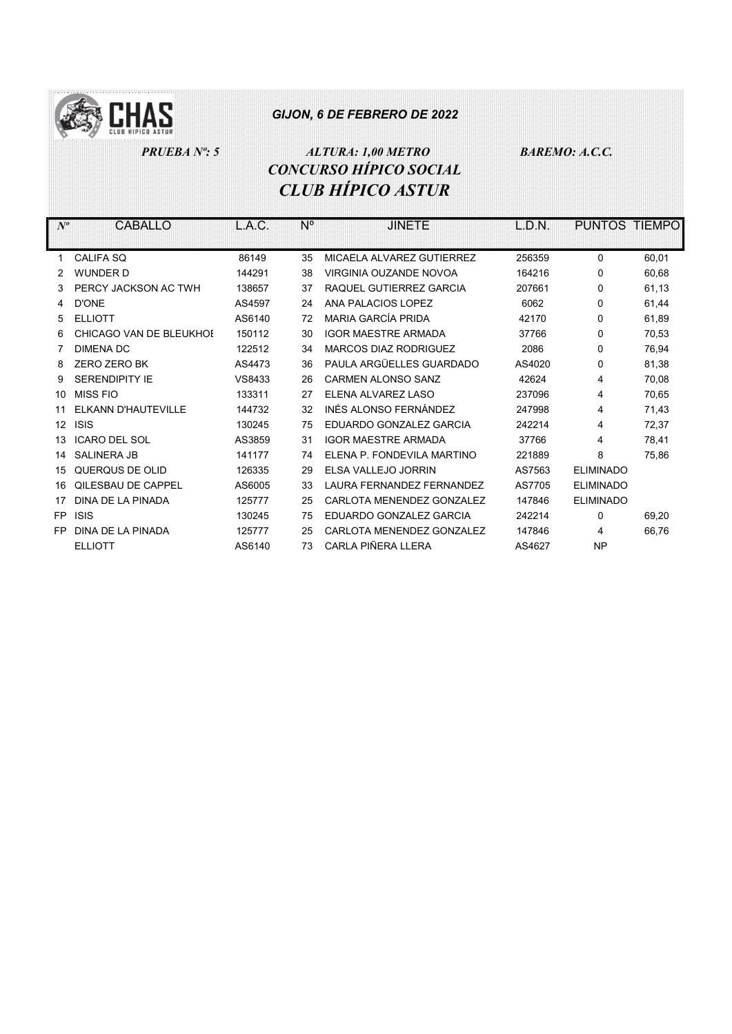

## PRUEBA Nº: 5 ALTURA: 1,00 METRO BAREMO: A.C.C. CONCURSO HÍPICO SOCIAL CLUB HÍPICO ASTUR

Nº CABALLO L.A.C. Nº JINETE L.D.N. PUNTOS TIEMPO 1 CALIFA SQ 86149 35 MICAELA ALVAREZ GUTIERREZ 256359 0 60,01 2 WUNDER D 144291 38 VIRGINIA OUZANDE NOVOA 164216 0 60,68 3 PERCY JACKSON AC TWH 138657 37 RAQUEL GUTIERREZ GARCIA 207661 0 61,13 4 D'ONE AS4597 24 ANA PALACIOS LOPEZ 6062 0 61,44 5 ELLIOTT AS6140 72 MARIA GARCÍA PRIDA 42170 0 61,89 6 CHICAGO VAN DE BLEUKHOI 150112 30 IGOR MAESTRE ARMADA 37766 0 70,53 7 DIMENA DC 122512 34 MARCOS DIAZ RODRIGUEZ 2086 0 76,94 8 ZERO ZERO BK AS4473 36 PAULA ARGÜELLES GUARDADO AS4020 81,38 9 SERENDIPITY IE VS8433 26 CARMEN ALONSO SANZ 42624 4 70,08 10 MISS FIO 133311 27 ELENA ALVAREZ LASO 237096 4 70,65 11 ELKANN D'HAUTEVILLE 144732 32 INÉS ALONSO FERNÁNDEZ 247998 4 71,43 12 ISIS 130245 75 EDUARDO GONZALEZ GARCIA 242214 4 72,37 13 ICARO DEL SOL AS3859 31 IGOR MAESTRE ARMADA 37766 4 78,41 14 SALINERA JB 141177 74 ELENA P. FONDEVILA MARTINO 221889 8 75,86 15 QUERQUS DE OLID 126335 29 ELSA VALLEJO JORRIN AS7563 ELIMINADO 16 QILESBAU DE CAPPEL AS6005 33 LAURA FERNANDEZ FERNANDEZ AS7705 ELIMINADO 17 DINA DE LA PINADA 125777 25 CARLOTA MENENDEZ GONZALEZ 147846 ELIMINADO FP ISIS 130245 75 EDUARDO GONZALEZ GARCIA 242214 0 69,20

FP DINA DE LA PINADA 125777 25 CARLOTA MENENDEZ GONZALEZ 147846 4 66,76

ELLIOTT AS6140 73 CARLA PIÑERA LLERA AS4627 NP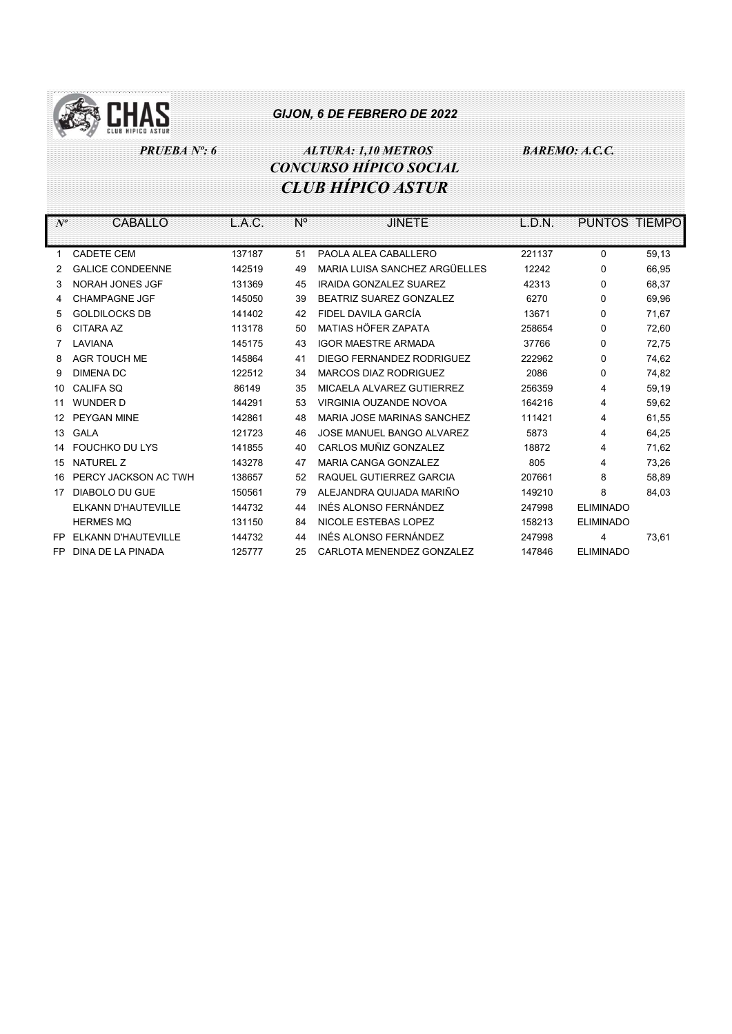

PRUEBA Nº: 6 ALTURA: 1,10 METROS BAREMO: A.C.C. CONCURSO HÍPICO SOCIAL CLUB HÍPICO ASTUR

| $N^o$ | CABALLO                 | L.A.C. | N° | <b>JINETE</b>                 | L.D.N. | PUNTOS TIEMPO    |       |
|-------|-------------------------|--------|----|-------------------------------|--------|------------------|-------|
|       |                         |        |    |                               |        |                  |       |
| 1     | <b>CADETE CEM</b>       | 137187 | 51 | PAOLA ALEA CABALLERO          | 221137 | 0                | 59,13 |
|       | <b>GALICE CONDEENNE</b> | 142519 | 49 | MARIA LUISA SANCHEZ ARGÜELLES | 12242  | 0                | 66,95 |
| 3     | NORAH JONES JGF         | 131369 | 45 | <b>IRAIDA GONZALEZ SUAREZ</b> | 42313  | $\Omega$         | 68,37 |
| 4     | <b>CHAMPAGNE JGF</b>    | 145050 | 39 | BEATRIZ SUAREZ GONZALEZ       | 6270   | 0                | 69,96 |
| 5     | <b>GOLDILOCKS DB</b>    | 141402 | 42 | FIDEL DAVILA GARCÍA           | 13671  | 0                | 71,67 |
| 6     | <b>CITARA AZ</b>        | 113178 | 50 | MATIAS HÖFFR ZAPATA           | 258654 | 0                | 72,60 |
|       | LAVIANA                 | 145175 | 43 | <b>IGOR MAESTRE ARMADA</b>    | 37766  | $\Omega$         | 72,75 |
| 8     | <b>AGR TOUCH ME</b>     | 145864 | 41 | DIEGO FERNANDEZ RODRIGUEZ     | 222962 | 0                | 74,62 |
| 9     | <b>DIMENA DC</b>        | 122512 | 34 | MARCOS DIAZ RODRIGUEZ         | 2086   | 0                | 74,82 |
| 10    | CALIFA SO               | 86149  | 35 | MICAELA ALVAREZ GUTIERREZ     | 256359 | 4                | 59,19 |
| 11    | <b>WUNDER D</b>         | 144291 | 53 | VIRGINIA OUZANDE NOVOA        | 164216 | 4                | 59,62 |
| 12    | PEYGAN MINE             | 142861 | 48 | MARIA JOSE MARINAS SANCHEZ    | 111421 | 4                | 61,55 |
| 13    | <b>GALA</b>             | 121723 | 46 | JOSE MANUEL BANGO ALVAREZ     | 5873   | 4                | 64,25 |
| 14    | <b>FOUCHKO DU LYS</b>   | 141855 | 40 | CARLOS MUÑIZ GONZALEZ         | 18872  | 4                | 71,62 |
| 15    | <b>NATUREL Z</b>        | 143278 | 47 | <b>MARIA CANGA GONZALEZ</b>   | 805    | 4                | 73,26 |
| 16    | PERCY JACKSON AC TWH    | 138657 | 52 | RAQUEL GUTIERREZ GARCIA       | 207661 | 8                | 58,89 |
| 17    | DIABOLO DU GUE          | 150561 | 79 | ALEJANDRA QUIJADA MARIÑO      | 149210 | 8                | 84,03 |
|       | ELKANN D'HAUTEVILLE     | 144732 | 44 | INÉS ALONSO FERNÁNDEZ         | 247998 | <b>ELIMINADO</b> |       |
|       | <b>HERMES MQ</b>        | 131150 | 84 | NICOLE ESTEBAS LOPEZ          | 158213 | <b>ELIMINADO</b> |       |
| FP    | ELKANN D'HAUTEVILLE     | 144732 | 44 | INÉS ALONSO FERNÁNDEZ         | 247998 | 4                | 73,61 |
| FP    | DINA DE LA PINADA       | 125777 | 25 | CARLOTA MENENDEZ GONZALEZ     | 147846 | <b>ELIMINADO</b> |       |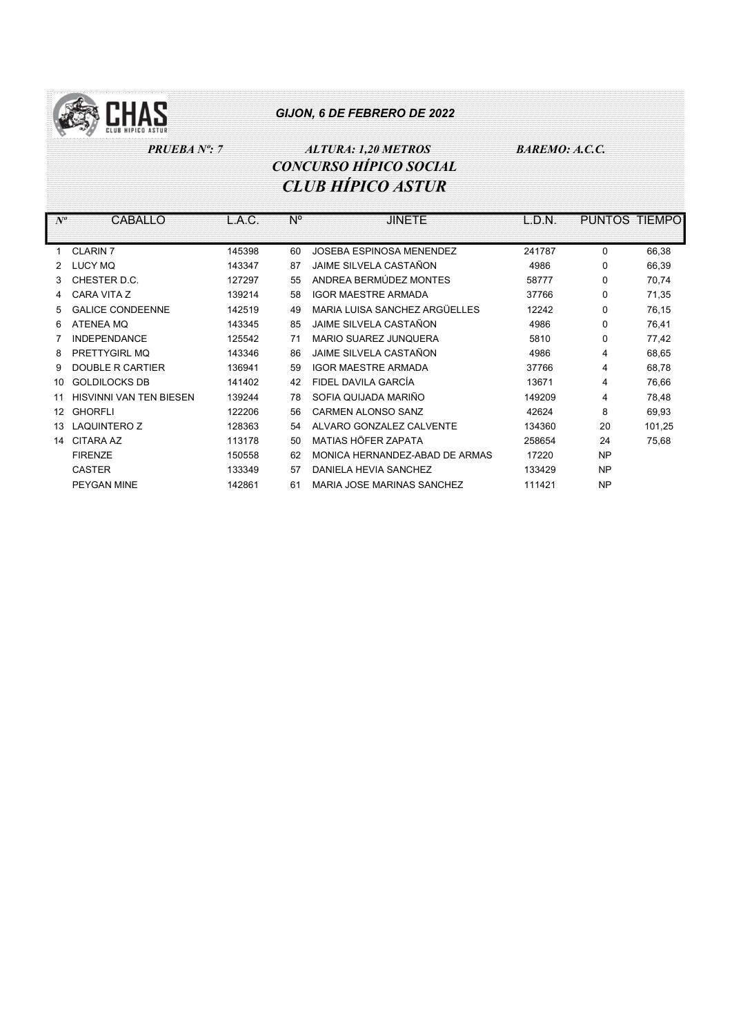

## PRUEBA Nº: 7 ALTURA: 1,20 METROS BAREMO: A.C.C. CONCURSO HÍPICO SOCIAL CLUB HÍPICO ASTUR

| $N^o$ | CABALLO                        | L.A.C. | $N^{\circ}$ | <b>JINETE</b>                  | L.D.N. | <b>PUNTOS</b> | <b>TIEMPO</b> |
|-------|--------------------------------|--------|-------------|--------------------------------|--------|---------------|---------------|
|       |                                |        |             |                                |        |               |               |
|       | <b>CLARIN 7</b>                | 145398 | 60          | JOSEBA ESPINOSA MENENDEZ       | 241787 | $\Omega$      | 66,38         |
| 2     | <b>LUCY MQ</b>                 | 143347 | 87          | JAIME SILVELA CASTAÑON         | 4986   | 0             | 66,39         |
| 3     | CHESTER D.C.                   | 127297 | 55          | ANDREA BERMÚDEZ MONTES         | 58777  | 0             | 70,74         |
| 4     | CARA VITA Z                    | 139214 | 58          | <b>IGOR MAESTRE ARMADA</b>     | 37766  | $\Omega$      | 71,35         |
| 5     | <b>GALICE CONDEENNE</b>        | 142519 | 49          | MARIA LUISA SANCHEZ ARGÜELLES  | 12242  | $\Omega$      | 76,15         |
| 6     | <b>ATENEA MQ</b>               | 143345 | 85          | JAIME SILVELA CASTAÑON         | 4986   | $\Omega$      | 76,41         |
|       | <b>INDEPENDANCE</b>            | 125542 | 71          | <b>MARIO SUAREZ JUNQUERA</b>   | 5810   | 0             | 77,42         |
| 8     | PRETTYGIRL MQ                  | 143346 | 86          | JAIME SILVELA CASTAÑON         | 4986   | 4             | 68,65         |
| 9     | <b>DOUBLE R CARTIER</b>        | 136941 | 59          | <b>IGOR MAESTRE ARMADA</b>     | 37766  | 4             | 68,78         |
| 10    | <b>GOLDILOCKS DB</b>           | 141402 | 42          | FIDEL DAVILA GARCÍA            | 13671  | 4             | 76,66         |
| 11    | <b>HISVINNI VAN TEN BIESEN</b> | 139244 | 78          | SOFIA QUIJADA MARIÑO           | 149209 | 4             | 78,48         |
| 12    | <b>GHORFLI</b>                 | 122206 | 56          | CARMEN ALONSO SANZ             | 42624  | 8             | 69,93         |
| 13    | <b>LAQUINTERO Z</b>            | 128363 | 54          | ALVARO GONZALEZ CALVENTE       | 134360 | 20            | 101,25        |
| 14    | <b>CITARA AZ</b>               | 113178 | 50          | MATIAS HÖFER ZAPATA            | 258654 | 24            | 75,68         |
|       | <b>FIRENZE</b>                 | 150558 | 62          | MONICA HERNANDEZ-ABAD DE ARMAS | 17220  | <b>NP</b>     |               |
|       | <b>CASTER</b>                  | 133349 | 57          | DANIELA HEVIA SANCHEZ          | 133429 | <b>NP</b>     |               |
|       | PEYGAN MINE                    | 142861 | 61          | MARIA JOSE MARINAS SANCHEZ     | 111421 | <b>NP</b>     |               |